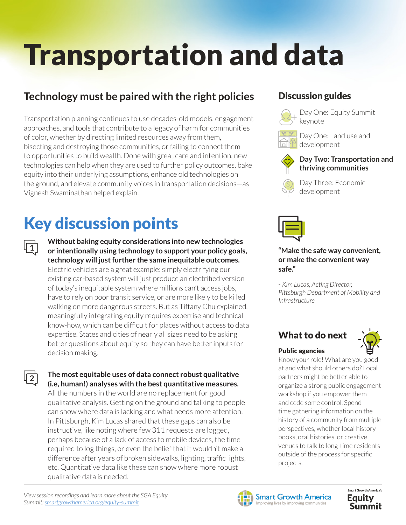# Transportation and data

## **Technology must be paired with the right policies**

Transportation planning continues to use decades-old models, engagement approaches, and tools that contribute to a legacy of harm for communities of color, whether by directing limited resources away from them, bisecting and destroying those communities, or failing to connect them to opportunities to build wealth. Done with great care and intention, new technologies can help when they are used to further policy outcomes, bake equity into their underlying assumptions, enhance old technologies on the ground, and elevate community voices in transportation decisions—as Vignesh Swaminathan helped explain.

## Key discussion points

**1**

**2**

**Without baking equity considerations into new technologies or intentionally using technology to support your policy goals, technology will just further the same inequitable outcomes.**  Electric vehicles are a great example: simply electrifying our existing car-based system will just produce an electrified version of today's inequitable system where millions can't access jobs, have to rely on poor transit service, or are more likely to be killed walking on more dangerous streets. But as Tiffany Chu explained, meaningfully integrating equity requires expertise and technical know-how, which can be difficult for places without access to data expertise. States and cities of nearly all sizes need to be asking better questions about equity so they can have better inputs for decision making.

**The most equitable uses of data connect robust qualitative (i.e, human!) analyses with the best quantitative measures.** 

All the numbers in the world are no replacement for good qualitative analysis. Getting on the ground and talking to people can show where data is lacking and what needs more attention. In Pittsburgh, Kim Lucas shared that these gaps can also be instructive, like noting where few 311 requests are logged, perhaps because of a lack of access to mobile devices, the time required to log things, or even the belief that it wouldn't make a difference after years of broken sidewalks, lighting, traffic lights, etc. Quantitative data like these can show where more robust qualitative data is needed.

## Discussion guides



Day One: Equity Summit keynote



Day One: Land use and development



**Day Two: Transportation and thriving communities**

Day Three: Economic development



**"Make the safe way convenient, or make the convenient way safe."** 

*- Kim Lucas, Acting Director, Pittsburgh Department of Mobility and Infrastructure*

## What to do next



#### Public agencies

Know your role! What are you good at and what should others do? Local partners might be better able to organize a strong public engagement workshop if you empower them and cede some control. Spend time gathering information on the history of a community from multiple perspectives, whether local history books, oral histories, or creative venues to talk to long-time residents outside of the process for specific projects.